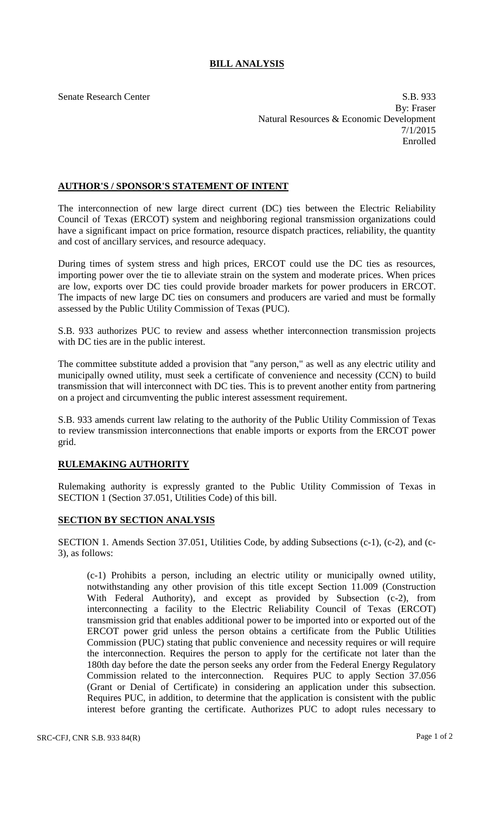## **BILL ANALYSIS**

Senate Research Center S.B. 933 By: Fraser Natural Resources & Economic Development 7/1/2015 Enrolled

## **AUTHOR'S / SPONSOR'S STATEMENT OF INTENT**

The interconnection of new large direct current (DC) ties between the Electric Reliability Council of Texas (ERCOT) system and neighboring regional transmission organizations could have a significant impact on price formation, resource dispatch practices, reliability, the quantity and cost of ancillary services, and resource adequacy.

During times of system stress and high prices, ERCOT could use the DC ties as resources, importing power over the tie to alleviate strain on the system and moderate prices. When prices are low, exports over DC ties could provide broader markets for power producers in ERCOT. The impacts of new large DC ties on consumers and producers are varied and must be formally assessed by the Public Utility Commission of Texas (PUC).

S.B. 933 authorizes PUC to review and assess whether interconnection transmission projects with DC ties are in the public interest.

The committee substitute added a provision that "any person," as well as any electric utility and municipally owned utility, must seek a certificate of convenience and necessity (CCN) to build transmission that will interconnect with DC ties. This is to prevent another entity from partnering on a project and circumventing the public interest assessment requirement.

S.B. 933 amends current law relating to the authority of the Public Utility Commission of Texas to review transmission interconnections that enable imports or exports from the ERCOT power grid.

## **RULEMAKING AUTHORITY**

Rulemaking authority is expressly granted to the Public Utility Commission of Texas in SECTION 1 (Section 37.051, Utilities Code) of this bill.

## **SECTION BY SECTION ANALYSIS**

SECTION 1. Amends Section 37.051, Utilities Code, by adding Subsections (c-1), (c-2), and (c-3), as follows:

(c-1) Prohibits a person, including an electric utility or municipally owned utility, notwithstanding any other provision of this title except Section 11.009 (Construction With Federal Authority), and except as provided by Subsection (c-2), from interconnecting a facility to the Electric Reliability Council of Texas (ERCOT) transmission grid that enables additional power to be imported into or exported out of the ERCOT power grid unless the person obtains a certificate from the Public Utilities Commission (PUC) stating that public convenience and necessity requires or will require the interconnection. Requires the person to apply for the certificate not later than the 180th day before the date the person seeks any order from the Federal Energy Regulatory Commission related to the interconnection. Requires PUC to apply Section 37.056 (Grant or Denial of Certificate) in considering an application under this subsection. Requires PUC, in addition, to determine that the application is consistent with the public interest before granting the certificate. Authorizes PUC to adopt rules necessary to